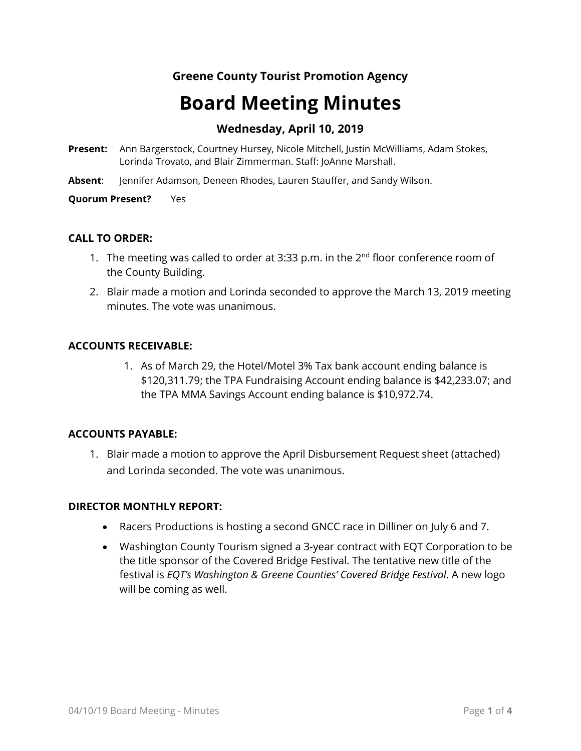# **Greene County Tourist Promotion Agency**

# **Board Meeting Minutes**

# **Wednesday, April 10, 2019**

- **Present:** Ann Bargerstock, Courtney Hursey, Nicole Mitchell, Justin McWilliams, Adam Stokes, Lorinda Trovato, and Blair Zimmerman. Staff: JoAnne Marshall.
- **Absent**: Jennifer Adamson, Deneen Rhodes, Lauren Stauffer, and Sandy Wilson.

**Quorum Present?** Yes

## **CALL TO ORDER:**

- 1. The meeting was called to order at 3:33 p.m. in the  $2^{nd}$  floor conference room of the County Building.
- 2. Blair made a motion and Lorinda seconded to approve the March 13, 2019 meeting minutes. The vote was unanimous.

## **ACCOUNTS RECEIVABLE:**

1. As of March 29, the Hotel/Motel 3% Tax bank account ending balance is \$120,311.79; the TPA Fundraising Account ending balance is \$42,233.07; and the TPA MMA Savings Account ending balance is \$10,972.74.

## **ACCOUNTS PAYABLE:**

1. Blair made a motion to approve the April Disbursement Request sheet (attached) and Lorinda seconded. The vote was unanimous.

## **DIRECTOR MONTHLY REPORT:**

- Racers Productions is hosting a second GNCC race in Dilliner on July 6 and 7.
- Washington County Tourism signed a 3-year contract with EQT Corporation to be the title sponsor of the Covered Bridge Festival. The tentative new title of the festival is *EQT's Washington & Greene Counties' Covered Bridge Festival*. A new logo will be coming as well.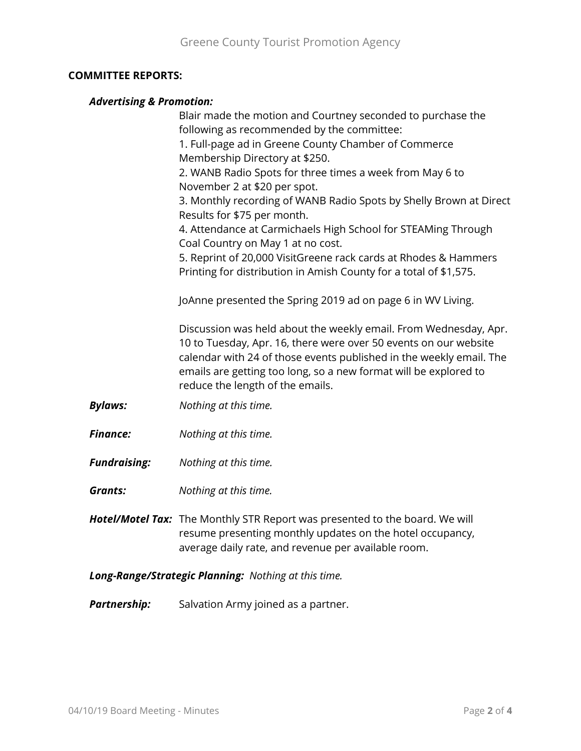## **COMMITTEE REPORTS:**

## *Advertising & Promotion:*

|                     | Blair made the motion and Courtney seconded to purchase the<br>following as recommended by the committee:                                                                                                                                                                                                           |
|---------------------|---------------------------------------------------------------------------------------------------------------------------------------------------------------------------------------------------------------------------------------------------------------------------------------------------------------------|
|                     | 1. Full-page ad in Greene County Chamber of Commerce<br>Membership Directory at \$250.                                                                                                                                                                                                                              |
|                     | 2. WANB Radio Spots for three times a week from May 6 to<br>November 2 at \$20 per spot.                                                                                                                                                                                                                            |
|                     | 3. Monthly recording of WANB Radio Spots by Shelly Brown at Direct<br>Results for \$75 per month.                                                                                                                                                                                                                   |
|                     | 4. Attendance at Carmichaels High School for STEAMing Through<br>Coal Country on May 1 at no cost.                                                                                                                                                                                                                  |
|                     | 5. Reprint of 20,000 VisitGreene rack cards at Rhodes & Hammers<br>Printing for distribution in Amish County for a total of \$1,575.                                                                                                                                                                                |
|                     | JoAnne presented the Spring 2019 ad on page 6 in WV Living.                                                                                                                                                                                                                                                         |
|                     | Discussion was held about the weekly email. From Wednesday, Apr.<br>10 to Tuesday, Apr. 16, there were over 50 events on our website<br>calendar with 24 of those events published in the weekly email. The<br>emails are getting too long, so a new format will be explored to<br>reduce the length of the emails. |
| <b>Bylaws:</b>      | Nothing at this time.                                                                                                                                                                                                                                                                                               |
| <b>Finance:</b>     | Nothing at this time.                                                                                                                                                                                                                                                                                               |
| <b>Fundraising:</b> | Nothing at this time.                                                                                                                                                                                                                                                                                               |
| <b>Grants:</b>      | Nothing at this time.                                                                                                                                                                                                                                                                                               |
|                     | <b>Hotel/Motel Tax:</b> The Monthly STR Report was presented to the board. We will<br>resume presenting monthly updates on the hotel occupancy,<br>average daily rate, and revenue per available room.                                                                                                              |

*Long-Range/Strategic Planning: Nothing at this time.*

**Partnership:** Salvation Army joined as a partner.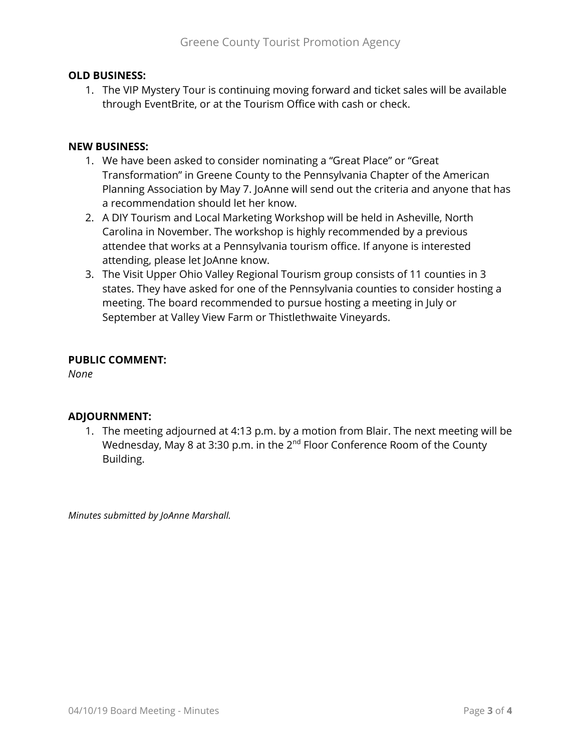## **OLD BUSINESS:**

1. The VIP Mystery Tour is continuing moving forward and ticket sales will be available through EventBrite, or at the Tourism Office with cash or check.

## **NEW BUSINESS:**

- 1. We have been asked to consider nominating a "Great Place" or "Great Transformation" in Greene County to the Pennsylvania Chapter of the American Planning Association by May 7. JoAnne will send out the criteria and anyone that has a recommendation should let her know.
- 2. A DIY Tourism and Local Marketing Workshop will be held in Asheville, North Carolina in November. The workshop is highly recommended by a previous attendee that works at a Pennsylvania tourism office. If anyone is interested attending, please let JoAnne know.
- 3. The Visit Upper Ohio Valley Regional Tourism group consists of 11 counties in 3 states. They have asked for one of the Pennsylvania counties to consider hosting a meeting. The board recommended to pursue hosting a meeting in July or September at Valley View Farm or Thistlethwaite Vineyards.

## **PUBLIC COMMENT:**

*None*

## **ADJOURNMENT:**

1. The meeting adjourned at 4:13 p.m. by a motion from Blair. The next meeting will be Wednesday, May 8 at 3:30 p.m. in the  $2^{nd}$  Floor Conference Room of the County Building.

*Minutes submitted by JoAnne Marshall.*